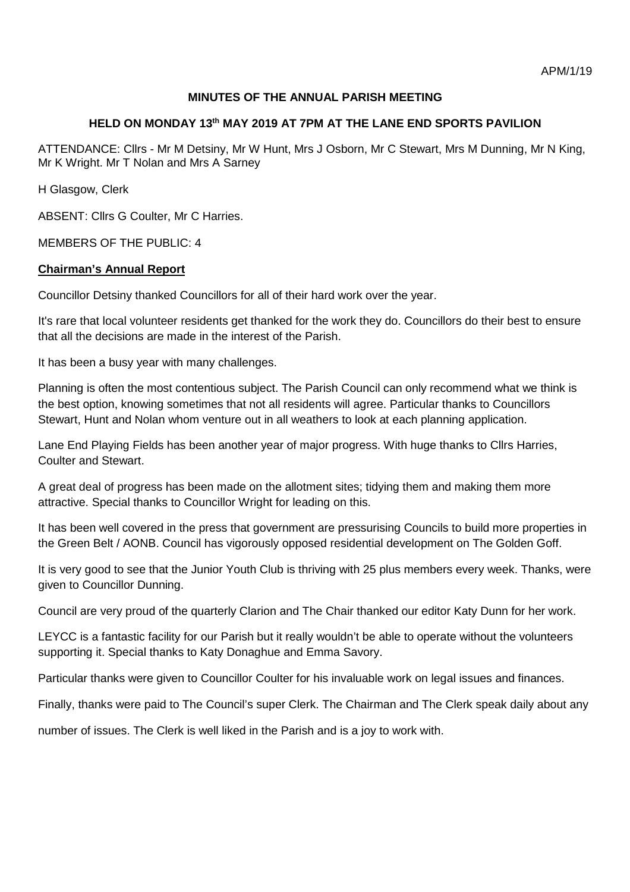# **MINUTES OF THE ANNUAL PARISH MEETING**

### **HELD ON MONDAY 13th MAY 2019 AT 7PM AT THE LANE END SPORTS PAVILION**

ATTENDANCE: Cllrs - Mr M Detsiny, Mr W Hunt, Mrs J Osborn, Mr C Stewart, Mrs M Dunning, Mr N King, Mr K Wright. Mr T Nolan and Mrs A Sarney

H Glasgow, Clerk

ABSENT: Cllrs G Coulter, Mr C Harries.

MEMBERS OF THE PUBLIC: 4

#### **Chairman's Annual Report**

Councillor Detsiny thanked Councillors for all of their hard work over the year.

It's rare that local volunteer residents get thanked for the work they do. Councillors do their best to ensure that all the decisions are made in the interest of the Parish.

It has been a busy year with many challenges.

Planning is often the most contentious subject. The Parish Council can only recommend what we think is the best option, knowing sometimes that not all residents will agree. Particular thanks to Councillors Stewart, Hunt and Nolan whom venture out in all weathers to look at each planning application.

Lane End Playing Fields has been another year of major progress. With huge thanks to Cllrs Harries, Coulter and Stewart.

A great deal of progress has been made on the allotment sites; tidying them and making them more attractive. Special thanks to Councillor Wright for leading on this.

It has been well covered in the press that government are pressurising Councils to build more properties in the Green Belt / AONB. Council has vigorously opposed residential development on The Golden Goff.

It is very good to see that the Junior Youth Club is thriving with 25 plus members every week. Thanks, were given to Councillor Dunning.

Council are very proud of the quarterly Clarion and The Chair thanked our editor Katy Dunn for her work.

LEYCC is a fantastic facility for our Parish but it really wouldn't be able to operate without the volunteers supporting it. Special thanks to Katy Donaghue and Emma Savory.

Particular thanks were given to Councillor Coulter for his invaluable work on legal issues and finances.

Finally, thanks were paid to The Council's super Clerk. The Chairman and The Clerk speak daily about any

number of issues. The Clerk is well liked in the Parish and is a joy to work with.